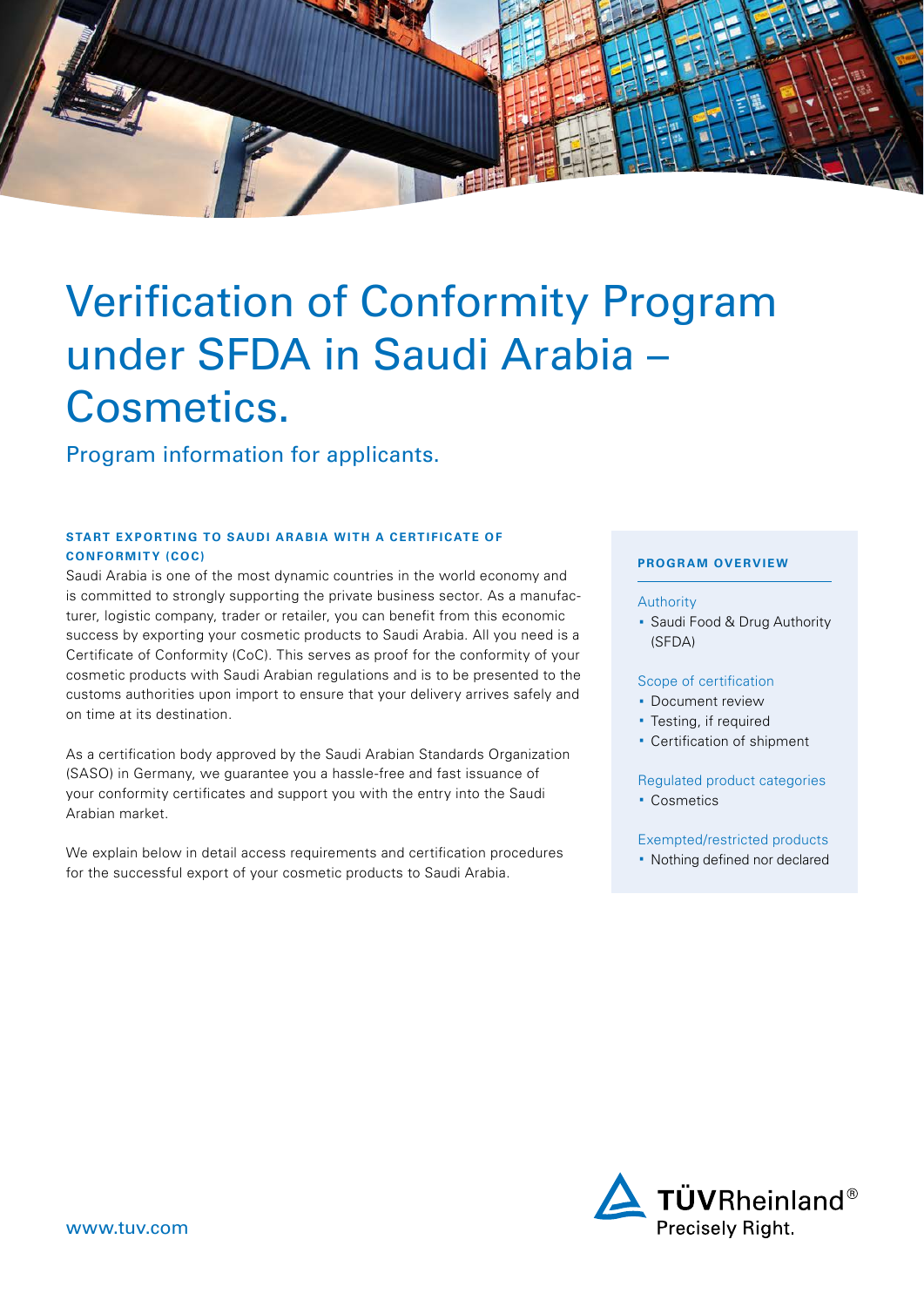

# Verification of Conformity Program under SFDA in Saudi Arabia – Cosmetics.

Program information for applicants.

# **START EXPORTING TO SAUDI ARABIA WITH A CERTIFICATE OF CONFORMITY (COC)**

Saudi Arabia is one of the most dynamic countries in the world economy and is committed to strongly supporting the private business sector. As a manufacturer, logistic company, trader or retailer, you can benefit from this economic success by exporting your cosmetic products to Saudi Arabia. All you need is a Certificate of Conformity (CoC). This serves as proof for the conformity of your cosmetic products with Saudi Arabian regulations and is to be presented to the customs authorities upon import to ensure that your delivery arrives safely and on time at its destination.

As a certification body approved by the Saudi Arabian Standards Organization (SASO) in Germany, we guarantee you a hassle-free and fast issuance of your conformity certificates and support you with the entry into the Saudi Arabian market.

We explain below in detail access requirements and certification procedures for the successful export of your cosmetic products to Saudi Arabia.

# **PROGRAM OVERVIEW**

#### Authority

· Saudi Food & Drug Authority (SFDA)

#### Scope of certification

- · Document review
- · Testing, if required
- · Certification of shipment

# Regulated product categories

· Cosmetics

# Exempted/restricted products

· Nothing defined nor declared

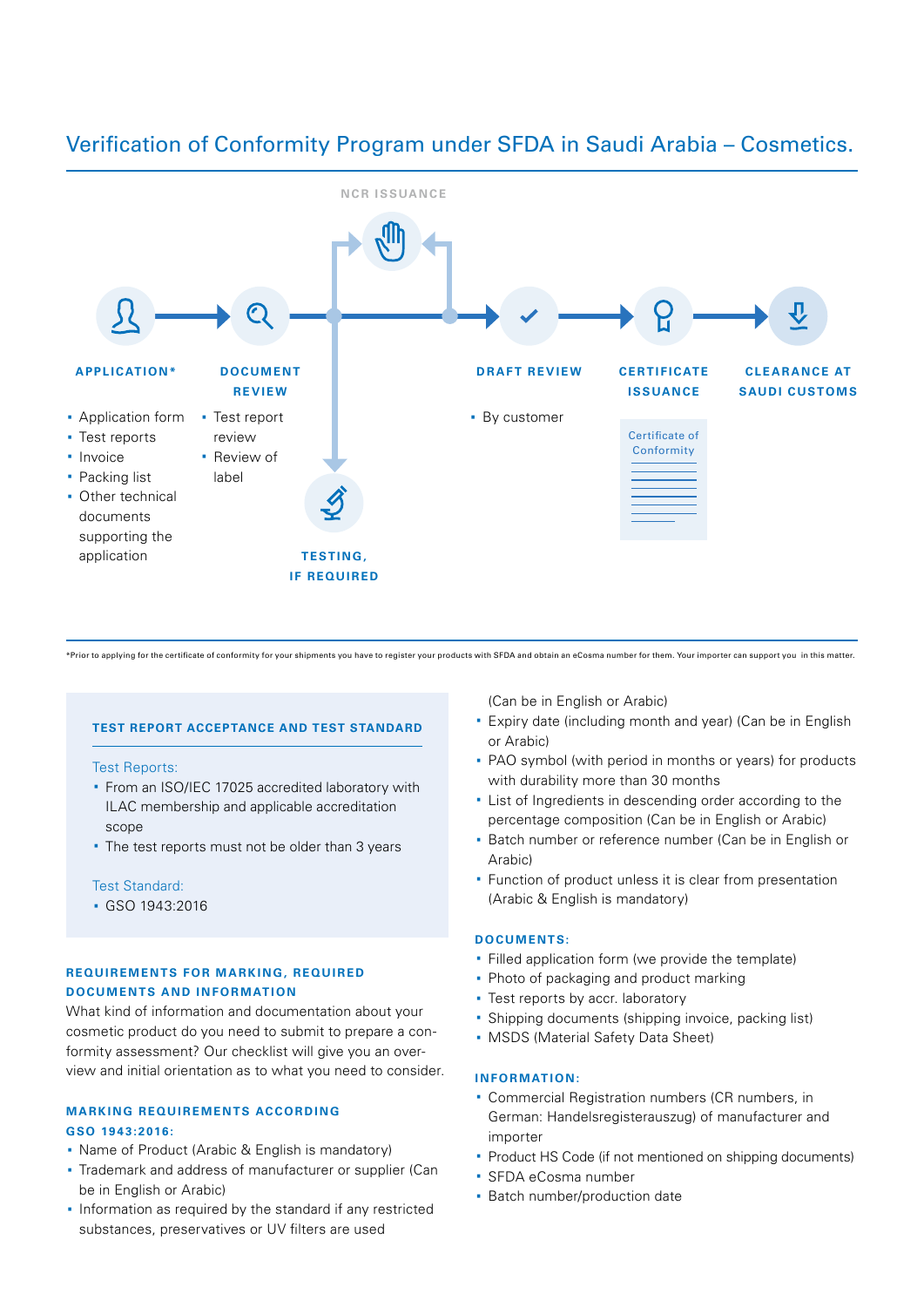

# Verification of Conformity Program under SFDA in Saudi Arabia – Cosmetics.

\*Prior to applying for the certificate of conformity for your shipments you have to register your products with SFDA and obtain an eCosma number for them. Your importer can support you in this matter.

#### **TEST REPORT ACCEPTANCE AND TEST STANDARD**

#### Test Reports:

- · From an ISO/IEC 17025 accredited laboratory with ILAC membership and applicable accreditation scope
- · The test reports must not be older than 3 years

#### Test Standard:

· GSO 1943:2016

#### **REQUIREMENTS FOR MARKING, REQUIRED DOCUMENTS AND INFORMATION**

What kind of information and documentation about your cosmetic product do you need to submit to prepare a conformity assessment? Our checklist will give you an overview and initial orientation as to what you need to consider.

# **MARKING REQUIREMENTS ACCORDING GSO 1943:2016:**

- · Name of Product (Arabic & English is mandatory)
- · Trademark and address of manufacturer or supplier (Can be in English or Arabic)
- · Information as required by the standard if any restricted substances, preservatives or UV filters are used

(Can be in English or Arabic)

- · Expiry date (including month and year) (Can be in English or Arabic)
- · PAO symbol (with period in months or years) for products with durability more than 30 months
- · List of Ingredients in descending order according to the percentage composition (Can be in English or Arabic)
- · Batch number or reference number (Can be in English or Arabic)
- · Function of product unless it is clear from presentation (Arabic & English is mandatory)

#### **DOCUMENTS:**

- · Filled application form (we provide the template)
- · Photo of packaging and product marking
- · Test reports by accr. laboratory
- · Shipping documents (shipping invoice, packing list)
- · MSDS (Material Safety Data Sheet)

#### **INFORMATION:**

- · Commercial Registration numbers (CR numbers, in German: Handelsregisterauszug) of manufacturer and importer
- · Product HS Code (if not mentioned on shipping documents)
- · SFDA eCosma number
- · Batch number/production date